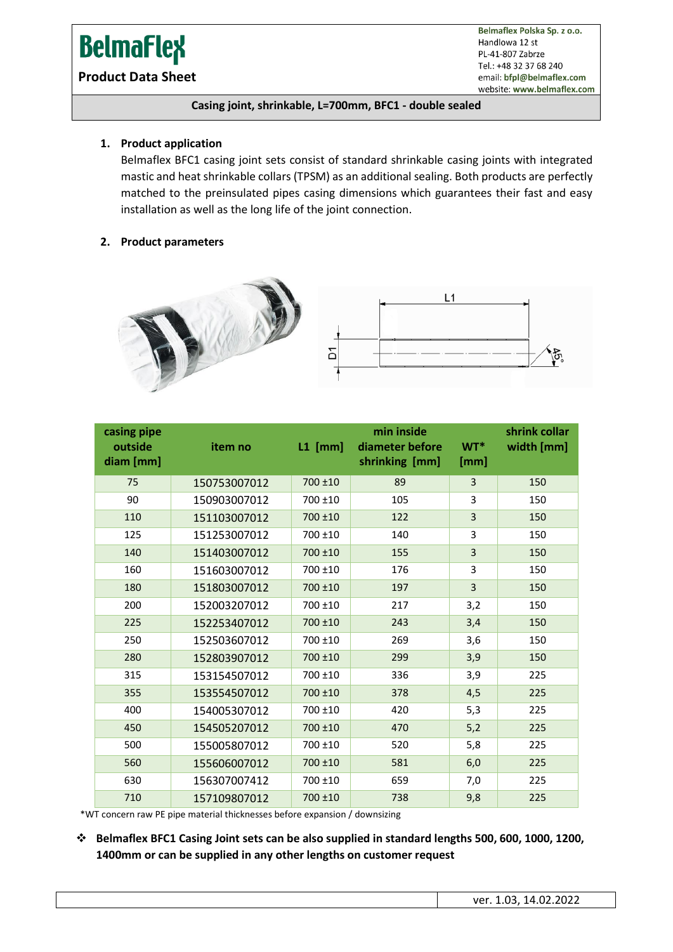# **BelmaFlex**

**Product Data Sheet**

Belmaflex Polska Sp. z o.o. Handlowa 12 st PL-41-807 Zabrze Tel.: +48 32 37 68 240 email: bfpl@belmaflex.com website: www.belmaflex.com

#### **Casing joint, shrinkable, L=700mm, BFC1 - double sealed**

## **1. Product application**

Belmaflex BFC1 casing joint sets consist of standard shrinkable casing joints with integrated mastic and heat shrinkable collars (TPSM) as an additional sealing. Both products are perfectly matched to the preinsulated pipes casing dimensions which guarantees their fast and easy installation as well as the long life of the joint connection.

#### **2. Product parameters**



| casing pipe<br>outside<br>diam [mm] | item no      | $L1$ [mm]  | min inside<br>diameter before<br>shrinking [mm] | WT*<br>[mm]    | shrink collar<br>width [mm] |
|-------------------------------------|--------------|------------|-------------------------------------------------|----------------|-----------------------------|
| 75                                  | 150753007012 | 700 ±10    | 89                                              | 3              | 150                         |
| 90                                  | 150903007012 | 700 ±10    | 105                                             | 3              | 150                         |
| 110                                 | 151103007012 | 700 ±10    | 122                                             | 3              | 150                         |
| 125                                 | 151253007012 | 700 ±10    | 140                                             | 3              | 150                         |
| 140                                 | 151403007012 | 700 ±10    | 155                                             | 3              | 150                         |
| 160                                 | 151603007012 | 700 ±10    | 176                                             | 3              | 150                         |
| 180                                 | 151803007012 | 700 ±10    | 197                                             | $\overline{3}$ | 150                         |
| 200                                 | 152003207012 | 700 ±10    | 217                                             | 3,2            | 150                         |
| 225                                 | 152253407012 | 700 ±10    | 243                                             | 3,4            | 150                         |
| 250                                 | 152503607012 | 700 ±10    | 269                                             | 3,6            | 150                         |
| 280                                 | 152803907012 | 700 ±10    | 299                                             | 3,9            | 150                         |
| 315                                 | 153154507012 | 700 ±10    | 336                                             | 3,9            | 225                         |
| 355                                 | 153554507012 | $700 + 10$ | 378                                             | 4,5            | 225                         |
| 400                                 | 154005307012 | 700 ±10    | 420                                             | 5,3            | 225                         |
| 450                                 | 154505207012 | 700 ±10    | 470                                             | 5,2            | 225                         |
| 500                                 | 155005807012 | 700 ±10    | 520                                             | 5,8            | 225                         |
| 560                                 | 155606007012 | 700 ±10    | 581                                             | 6,0            | 225                         |
| 630                                 | 156307007412 | 700 ±10    | 659                                             | 7,0            | 225                         |
| 710                                 | 157109807012 | 700 ±10    | 738                                             | 9,8            | 225                         |

\*WT concern raw PE pipe material thicknesses before expansion / downsizing

❖ **Belmaflex BFC1 Casing Joint sets can be also supplied in standard lengths 500, 600, 1000, 1200, 1400mm or can be supplied in any other lengths on customer request**